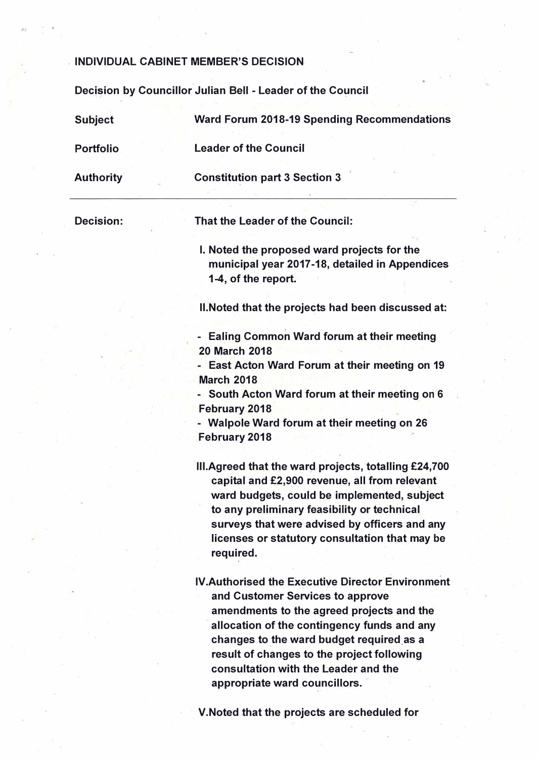### **. INDIVIDUAL CABINET MEMBER'S DECISION.**

**Deci�ion by Councillor Julian Bell - Leader of the Co�ncil** 

**Subject Portfolio Authority Decision: Ward Forum 2018-19 Spending Recommendations Leader of the Council Constitution part 3 Section 3 That the Leader of the Council: I. Noted the proposed ward projects for the municipal year 2017-18, detailed in Appendices 1-4, of the report. 11:Noted that the projects had been discussed at: - Ealing Common Ward forum at their meeting 20 March 2018 - East Acton Ward Forum at their meeting on 19 March 2018 - South Acton Ward forum at their meeting on 6 February 2018 - Walpole Ward forum at their meeting on 26 February 2018 Ill.Agreed that the ward projects, totalling £24,700 capital and £2,900 revenue, all from relevant ward budgets, could be implemented, subject to any preliminary feasibility or technical surveys that were advised by officers and any licenses or statutory consultation that may be required. IV.Authorised the Executive Director Environment ' and Customer Services to approve amendments to the agreed projects and the allocation of the contingency funds and any** changes to the ward budget required as a **result of changes to the project following consultation with the Leader and the appropriate ward councillors.**

**· V.Noted that the projects are scheduled for**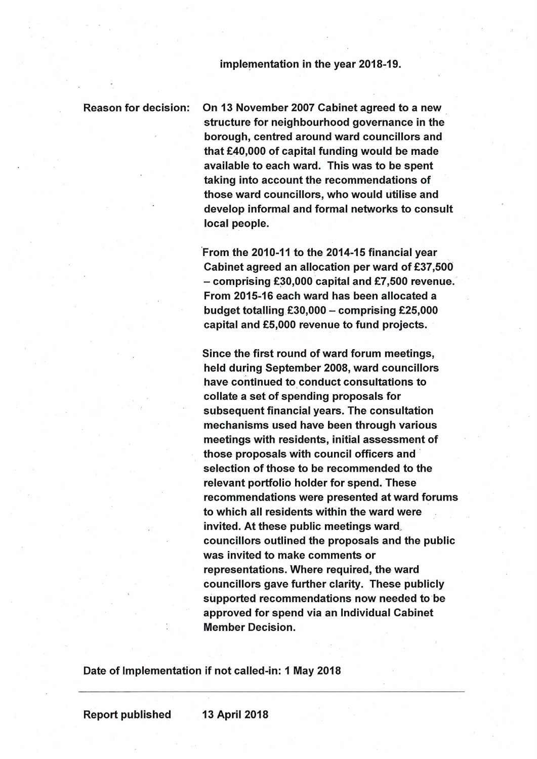### implementation in the year 2018-19.

### **Reason for decision:**

On 13 November 2007 Cabinet agreed to a new structure for neighbourhood governance in the borough, centred around ward councillors and that £40,000 of capital funding would be made available to each ward. This was to be spent taking into account the recommendations of those ward councillors, who would utilise and develop informal and formal networks to consult local people.

From the 2010-11 to the 2014-15 financial year Cabinet agreed an allocation per ward of £37,500  $-$  comprising £30,000 capital and £7,500 revenue. From 2015-16 each ward has been allocated a budget totalling  $£30,000 -$  comprising £25,000 capital and £5,000 revenue to fund projects.

Since the first round of ward forum meetings, held during September 2008, ward councillors have continued to conduct consultations to collate a set of spending proposals for subsequent financial years. The consultation mechanisms used have been through various meetings with residents, initial assessment of those proposals with council officers and selection of those to be recommended to the relevant portfolio holder for spend. These recommendations were presented at ward forums to which all residents within the ward were invited. At these public meetings ward, councillors outlined the proposals and the public was invited to make comments or representations. Where required, the ward councillors gave further clarity. These publicly supported recommendations now needed to be approved for spend via an Individual Cabinet **Member Decision.** 

Date of Implementation if not called-in: 1 May 2018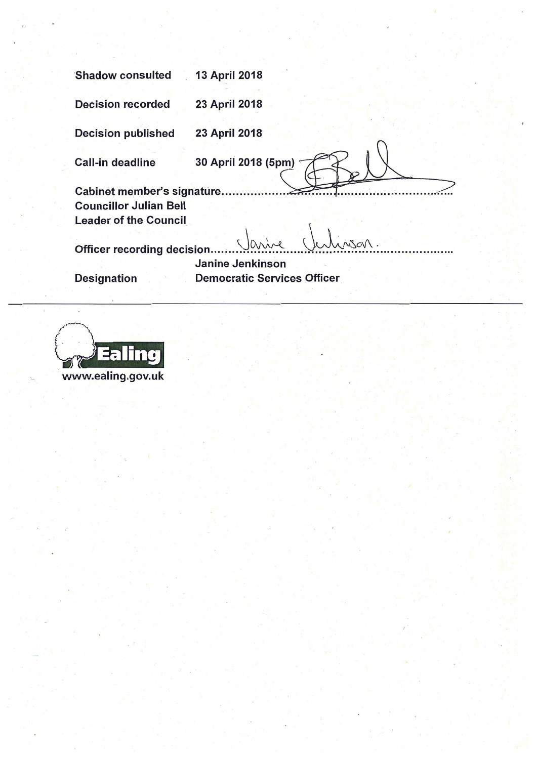| <b>Shadow consulted</b>                                  | <b>13 April 2018</b> |  |  |  |  |
|----------------------------------------------------------|----------------------|--|--|--|--|
| <b>Decision recorded</b>                                 | 23 April 2018        |  |  |  |  |
| <b>Decision published</b>                                | <b>23 April 2018</b> |  |  |  |  |
| <b>Call-in deadline</b>                                  | 30 April 2018 (5pm)  |  |  |  |  |
| Cabinet member's signature.                              |                      |  |  |  |  |
| <b>Councillor Julian Bell</b>                            |                      |  |  |  |  |
| <b>Leader of the Council</b>                             |                      |  |  |  |  |
|                                                          |                      |  |  |  |  |
| <b>Officer recording decision</b>                        |                      |  |  |  |  |
| <b>Janine Jenkinson</b>                                  |                      |  |  |  |  |
| <b>Democratic Services Officer</b><br><b>Designation</b> |                      |  |  |  |  |
|                                                          |                      |  |  |  |  |
|                                                          |                      |  |  |  |  |



 $\bar{t}$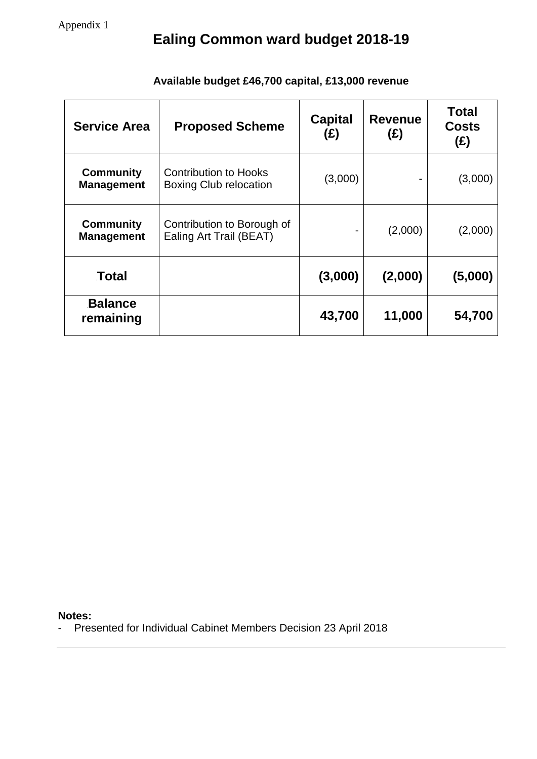# **Ealing Common ward budget 2018-19**

| <b>Service Area</b>                   | <b>Proposed Scheme</b>                                        | <b>Capital</b><br>(E) | <b>Revenue</b><br>(E) | <b>Total</b><br><b>Costs</b><br>(E) |
|---------------------------------------|---------------------------------------------------------------|-----------------------|-----------------------|-------------------------------------|
| <b>Community</b><br><b>Management</b> | <b>Contribution to Hooks</b><br><b>Boxing Club relocation</b> | (3,000)               |                       | (3,000)                             |
| <b>Community</b><br><b>Management</b> | Contribution to Borough of<br>Ealing Art Trail (BEAT)         | ۰                     | (2,000)               | (2,000)                             |
| Total                                 |                                                               | (3,000)               | (2,000)               | (5,000)                             |
| <b>Balance</b><br>remaining           |                                                               | 43,700                | 11,000                | 54,700                              |

## **Available budget £46,700 capital, £13,000 revenue**

**Notes:**

- Presented for Individual Cabinet Members Decision 23 April 2018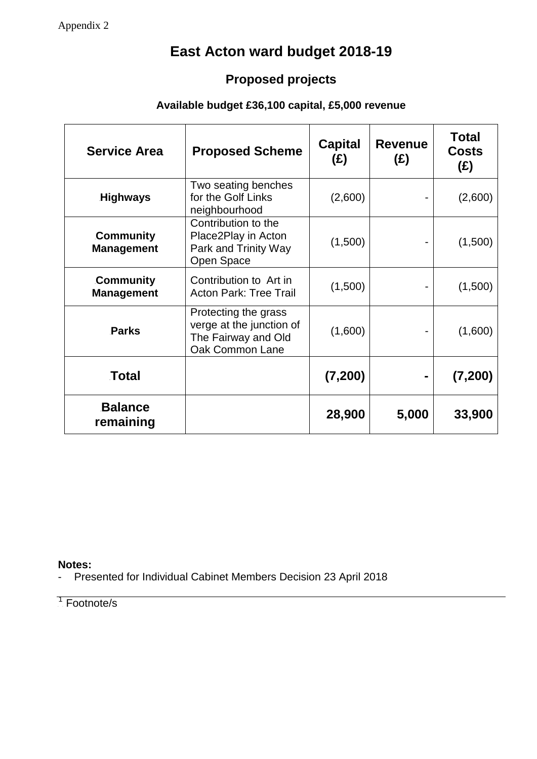## **East Acton ward budget 2018-19**

## **Proposed projects**

## **Available budget £36,100 capital, £5,000 revenue**

| <b>Service Area</b>                   | <b>Proposed Scheme</b>                                                                     | <b>Capital</b><br>(E) | <b>Revenue</b><br>(E) | <b>Total</b><br><b>Costs</b><br>(E) |
|---------------------------------------|--------------------------------------------------------------------------------------------|-----------------------|-----------------------|-------------------------------------|
| <b>Highways</b>                       | Two seating benches<br>for the Golf Links<br>neighbourhood                                 | (2,600)               |                       | (2,600)                             |
| Community<br><b>Management</b>        | Contribution to the<br>Place2Play in Acton<br>Park and Trinity Way<br>Open Space           | (1,500)               |                       | (1,500)                             |
| <b>Community</b><br><b>Management</b> | Contribution to Art in<br><b>Acton Park: Tree Trail</b>                                    | (1,500)               |                       | (1,500)                             |
| <b>Parks</b>                          | Protecting the grass<br>verge at the junction of<br>The Fairway and Old<br>Oak Common Lane | (1,600)               |                       | (1,600)                             |
| Total                                 |                                                                                            | (7,200)               | ۰                     | (7, 200)                            |
| <b>Balance</b><br>remaining           |                                                                                            | 28,900                | 5,000                 | 33,900                              |

### **Notes:**

- Presented for Individual Cabinet Members Decision 23 April 2018

<sup>1</sup> Footnote/s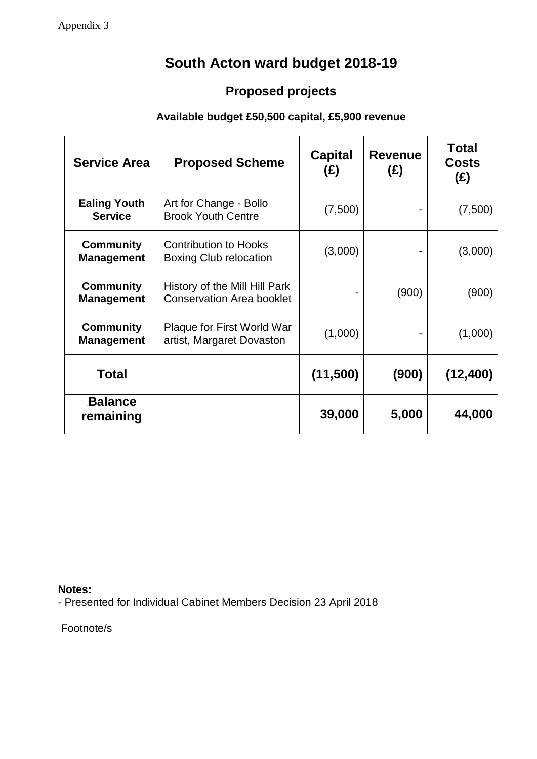# **South Acton ward budget 2018-19**

## **Proposed projects**

## **Available budget £50,500 capital, £5,900 revenue**

| <b>Service Area</b>                   | <b>Proposed Scheme</b>                                            | <b>Capital</b><br>(£)    | <b>Revenue</b><br>(E) | <b>Total</b><br><b>Costs</b><br>(E) |
|---------------------------------------|-------------------------------------------------------------------|--------------------------|-----------------------|-------------------------------------|
| <b>Ealing Youth</b><br><b>Service</b> | Art for Change - Bollo<br><b>Brook Youth Centre</b>               | (7,500)                  |                       | (7,500)                             |
| <b>Community</b><br><b>Management</b> | <b>Contribution to Hooks</b><br><b>Boxing Club relocation</b>     | (3,000)                  |                       | (3,000)                             |
| <b>Community</b><br><b>Management</b> | History of the Mill Hill Park<br><b>Conservation Area booklet</b> | $\overline{\phantom{0}}$ | (900)                 | (900)                               |
| <b>Community</b><br><b>Management</b> | Plaque for First World War<br>artist, Margaret Dovaston           | (1,000)                  |                       | (1,000)                             |
| Total                                 |                                                                   | (11,500)                 | (900)                 | (12, 400)                           |
| <b>Balance</b><br>remaining           |                                                                   | 39,000                   | 5,000                 | 44,000                              |

**Notes:** - Presented for Individual Cabinet Members Decision 23 April 2018

Footnote/s